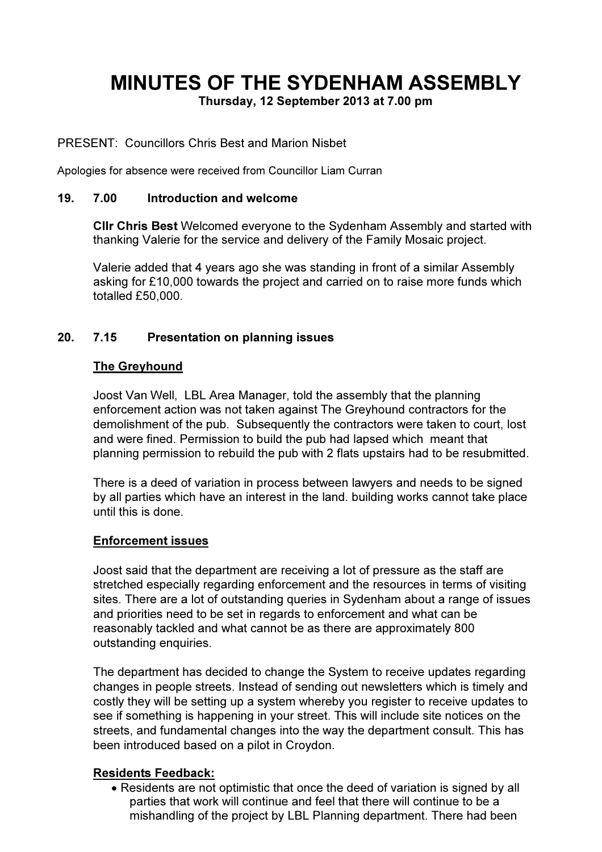# MINUTES OF THE SYDENHAM ASSEMBLY

Thursday, 12 September 2013 at 7.00 pm

#### PRESENT: Councillors Chris Best and Marion Nisbet

Apologies for absence were received from Councillor Liam Curran

#### 19. 7.00 Introduction and welcome

Cllr Chris Best Welcomed everyone to the Sydenham Assembly and started with thanking Valerie for the service and delivery of the Family Mosaic project.

Valerie added that 4 years ago she was standing in front of a similar Assembly asking for £10,000 towards the project and carried on to raise more funds which totalled £50,000.

## 20. 7.15 Presentation on planning issues

#### The Greyhound

Joost Van Well, LBL Area Manager, told the assembly that the planning enforcement action was not taken against The Greyhound contractors for the demolishment of the pub. Subsequently the contractors were taken to court, lost and were fined. Permission to build the pub had lapsed which meant that planning permission to rebuild the pub with 2 flats upstairs had to be resubmitted.

There is a deed of variation in process between lawyers and needs to be signed by all parties which have an interest in the land. building works cannot take place until this is done.

#### Enforcement issues

Joost said that the department are receiving a lot of pressure as the staff are stretched especially regarding enforcement and the resources in terms of visiting sites. There are a lot of outstanding queries in Sydenham about a range of issues and priorities need to be set in regards to enforcement and what can be reasonably tackled and what cannot be as there are approximately 800 outstanding enquiries.

The department has decided to change the System to receive updates regarding changes in people streets. Instead of sending out newsletters which is timely and costly they will be setting up a system whereby you register to receive updates to see if something is happening in your street. This will include site notices on the streets, and fundamental changes into the way the department consult. This has been introduced based on a pilot in Croydon.

#### Residents Feedback:

• Residents are not optimistic that once the deed of variation is signed by all parties that work will continue and feel that there will continue to be a mishandling of the project by LBL Planning department. There had been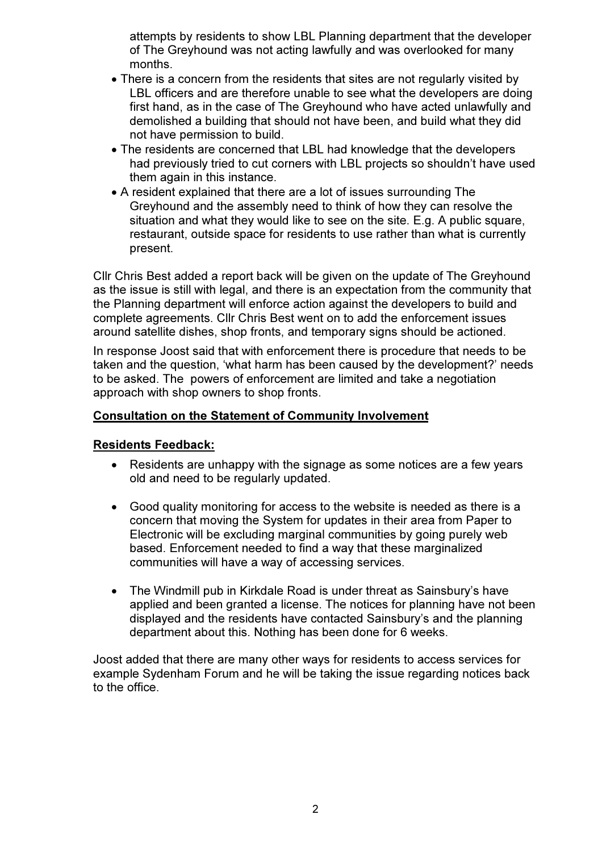attempts by residents to show LBL Planning department that the developer of The Greyhound was not acting lawfully and was overlooked for many months.

- There is a concern from the residents that sites are not regularly visited by LBL officers and are therefore unable to see what the developers are doing first hand, as in the case of The Greyhound who have acted unlawfully and demolished a building that should not have been, and build what they did not have permission to build.
- The residents are concerned that LBL had knowledge that the developers had previously tried to cut corners with LBL projects so shouldn't have used them again in this instance.
- A resident explained that there are a lot of issues surrounding The Greyhound and the assembly need to think of how they can resolve the situation and what they would like to see on the site. E.g. A public square, restaurant, outside space for residents to use rather than what is currently present.

Cllr Chris Best added a report back will be given on the update of The Greyhound as the issue is still with legal, and there is an expectation from the community that the Planning department will enforce action against the developers to build and complete agreements. Cllr Chris Best went on to add the enforcement issues around satellite dishes, shop fronts, and temporary signs should be actioned.

In response Joost said that with enforcement there is procedure that needs to be taken and the question, 'what harm has been caused by the development?' needs to be asked. The powers of enforcement are limited and take a negotiation approach with shop owners to shop fronts.

## Consultation on the Statement of Community Involvement

#### Residents Feedback:

- Residents are unhappy with the signage as some notices are a few years old and need to be regularly updated.
- Good quality monitoring for access to the website is needed as there is a concern that moving the System for updates in their area from Paper to Electronic will be excluding marginal communities by going purely web based. Enforcement needed to find a way that these marginalized communities will have a way of accessing services.
- The Windmill pub in Kirkdale Road is under threat as Sainsbury's have applied and been granted a license. The notices for planning have not been displayed and the residents have contacted Sainsbury's and the planning department about this. Nothing has been done for 6 weeks.

Joost added that there are many other ways for residents to access services for example Sydenham Forum and he will be taking the issue regarding notices back to the office.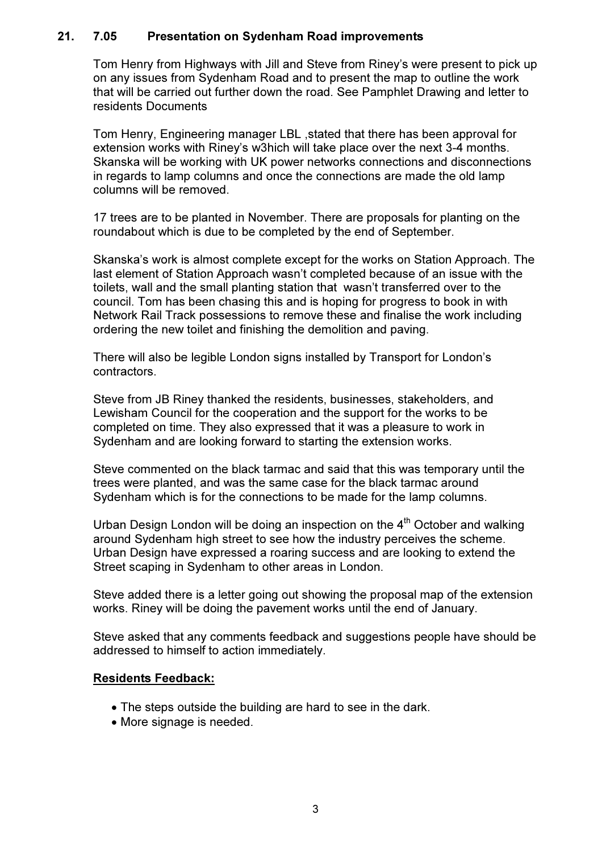#### 21. 7.05 Presentation on Sydenham Road improvements

Tom Henry from Highways with Jill and Steve from Riney's were present to pick up on any issues from Sydenham Road and to present the map to outline the work that will be carried out further down the road. See Pamphlet Drawing and letter to residents Documents

Tom Henry, Engineering manager LBL ,stated that there has been approval for extension works with Riney's w3hich will take place over the next 3-4 months. Skanska will be working with UK power networks connections and disconnections in regards to lamp columns and once the connections are made the old lamp columns will be removed.

17 trees are to be planted in November. There are proposals for planting on the roundabout which is due to be completed by the end of September.

Skanska's work is almost complete except for the works on Station Approach. The last element of Station Approach wasn't completed because of an issue with the toilets, wall and the small planting station that wasn't transferred over to the council. Tom has been chasing this and is hoping for progress to book in with Network Rail Track possessions to remove these and finalise the work including ordering the new toilet and finishing the demolition and paving.

There will also be legible London signs installed by Transport for London's contractors.

Steve from JB Riney thanked the residents, businesses, stakeholders, and Lewisham Council for the cooperation and the support for the works to be completed on time. They also expressed that it was a pleasure to work in Sydenham and are looking forward to starting the extension works.

Steve commented on the black tarmac and said that this was temporary until the trees were planted, and was the same case for the black tarmac around Sydenham which is for the connections to be made for the lamp columns.

Urban Design London will be doing an inspection on the  $4<sup>th</sup>$  October and walking around Sydenham high street to see how the industry perceives the scheme. Urban Design have expressed a roaring success and are looking to extend the Street scaping in Sydenham to other areas in London.

Steve added there is a letter going out showing the proposal map of the extension works. Riney will be doing the pavement works until the end of January.

Steve asked that any comments feedback and suggestions people have should be addressed to himself to action immediately.

#### Residents Feedback:

- The steps outside the building are hard to see in the dark.
- More signage is needed.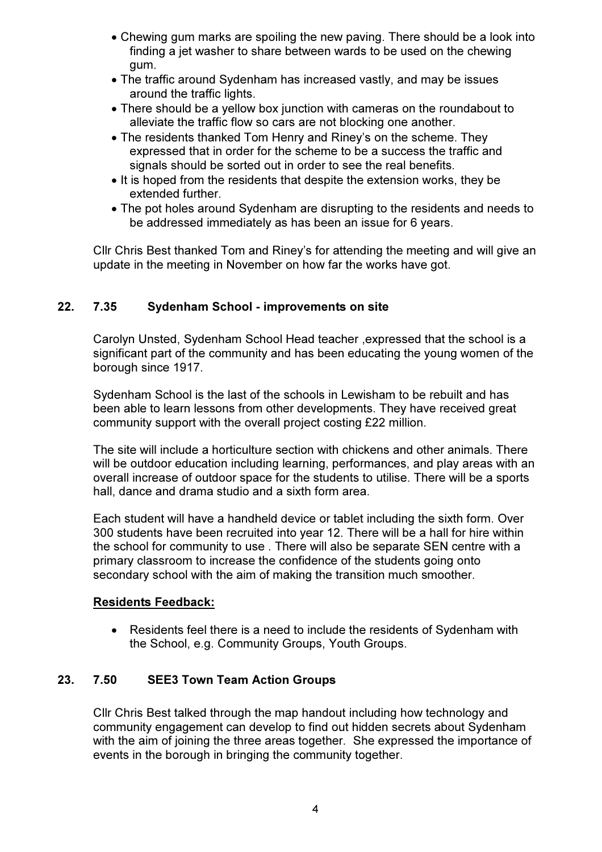- Chewing gum marks are spoiling the new paving. There should be a look into finding a jet washer to share between wards to be used on the chewing gum.
- The traffic around Sydenham has increased vastly, and may be issues around the traffic lights.
- There should be a yellow box junction with cameras on the roundabout to alleviate the traffic flow so cars are not blocking one another.
- The residents thanked Tom Henry and Riney's on the scheme. They expressed that in order for the scheme to be a success the traffic and signals should be sorted out in order to see the real benefits.
- It is hoped from the residents that despite the extension works, they be extended further.
- The pot holes around Sydenham are disrupting to the residents and needs to be addressed immediately as has been an issue for 6 years.

Cllr Chris Best thanked Tom and Riney's for attending the meeting and will give an update in the meeting in November on how far the works have got.

## 22. 7.35 Sydenham School - improvements on site

Carolyn Unsted, Sydenham School Head teacher ,expressed that the school is a significant part of the community and has been educating the young women of the borough since 1917.

Sydenham School is the last of the schools in Lewisham to be rebuilt and has been able to learn lessons from other developments. They have received great community support with the overall project costing £22 million.

The site will include a horticulture section with chickens and other animals. There will be outdoor education including learning, performances, and play areas with an overall increase of outdoor space for the students to utilise. There will be a sports hall, dance and drama studio and a sixth form area.

Each student will have a handheld device or tablet including the sixth form. Over 300 students have been recruited into year 12. There will be a hall for hire within the school for community to use . There will also be separate SEN centre with a primary classroom to increase the confidence of the students going onto secondary school with the aim of making the transition much smoother.

## Residents Feedback:

• Residents feel there is a need to include the residents of Sydenham with the School, e.g. Community Groups, Youth Groups.

## 23. 7.50 SEE3 Town Team Action Groups

Cllr Chris Best talked through the map handout including how technology and community engagement can develop to find out hidden secrets about Sydenham with the aim of joining the three areas together. She expressed the importance of events in the borough in bringing the community together.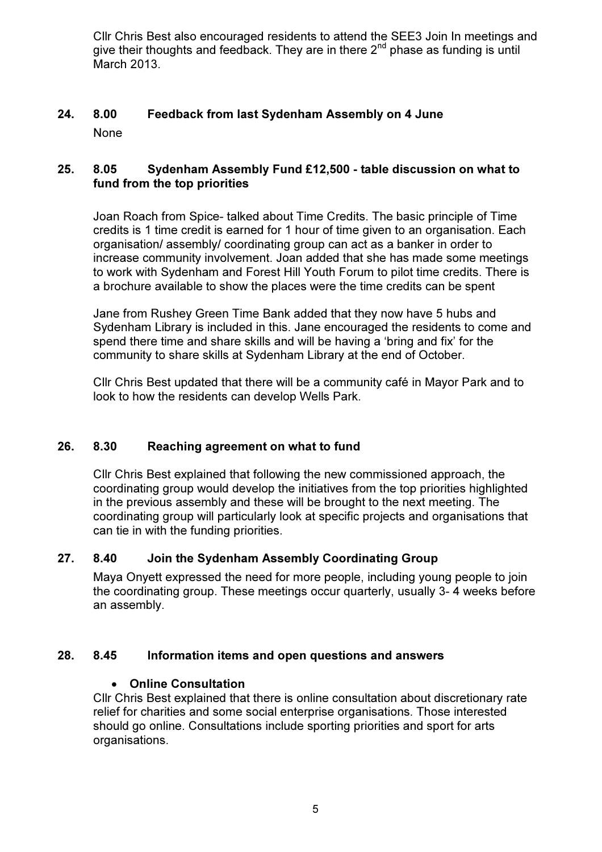Cllr Chris Best also encouraged residents to attend the SEE3 Join In meetings and give their thoughts and feedback. They are in there  $2<sup>nd</sup>$  phase as funding is until March 2013.

## 24. 8.00 Feedback from last Sydenham Assembly on 4 June None

## 25. 8.05 Sydenham Assembly Fund £12,500 - table discussion on what to fund from the top priorities

Joan Roach from Spice- talked about Time Credits. The basic principle of Time credits is 1 time credit is earned for 1 hour of time given to an organisation. Each organisation/ assembly/ coordinating group can act as a banker in order to increase community involvement. Joan added that she has made some meetings to work with Sydenham and Forest Hill Youth Forum to pilot time credits. There is a brochure available to show the places were the time credits can be spent

Jane from Rushey Green Time Bank added that they now have 5 hubs and Sydenham Library is included in this. Jane encouraged the residents to come and spend there time and share skills and will be having a 'bring and fix' for the community to share skills at Sydenham Library at the end of October.

Cllr Chris Best updated that there will be a community café in Mayor Park and to look to how the residents can develop Wells Park.

## 26. 8.30 Reaching agreement on what to fund

Cllr Chris Best explained that following the new commissioned approach, the coordinating group would develop the initiatives from the top priorities highlighted in the previous assembly and these will be brought to the next meeting. The coordinating group will particularly look at specific projects and organisations that can tie in with the funding priorities.

## 27. 8.40 Join the Sydenham Assembly Coordinating Group

Maya Onyett expressed the need for more people, including young people to join the coordinating group. These meetings occur quarterly, usually 3- 4 weeks before an assembly.

#### 28. 8.45 Information items and open questions and answers

#### • Online Consultation

Cllr Chris Best explained that there is online consultation about discretionary rate relief for charities and some social enterprise organisations. Those interested should go online. Consultations include sporting priorities and sport for arts organisations.